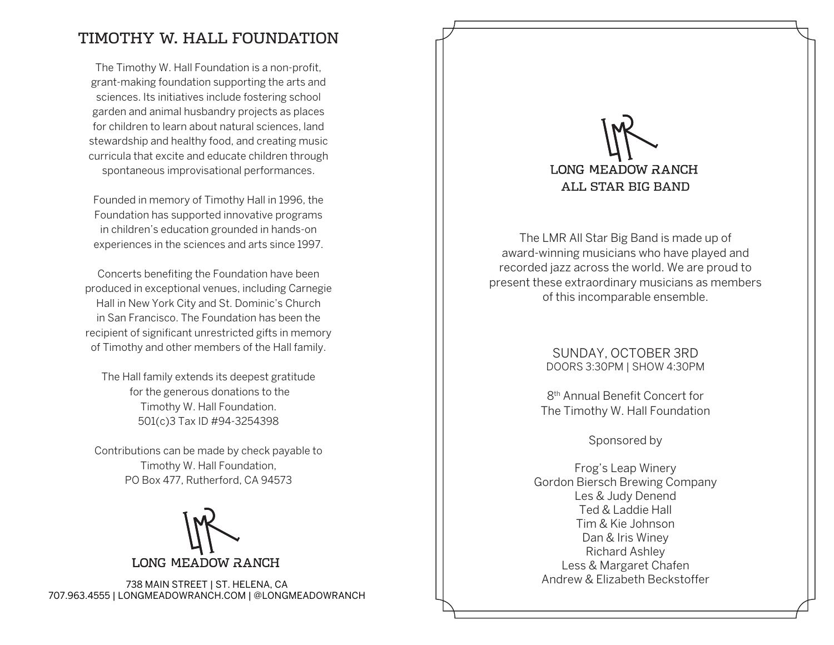## TIMOTHY W. HALL FOUNDATION

The Timothy W. Hall Foundation is a non-profit, grant-making foundation supporting the arts and sciences. Its initiatives include fostering school garden and animal husbandry projects as places for children to learn about natural sciences, land stewardship and healthy food, and creating music curricula that excite and educate children through spontaneous improvisational performances.

Founded in memory of Timothy Hall in 1996, the Foundation has supported innovative programs in children's education grounded in hands-on experiences in the sciences and arts since 1997.

Concerts benefiting the Foundation have been produced in exceptional venues, including Carnegie Hall in New York City and St. Dominic's Church in San Francisco. The Foundation has been the recipient of significant unrestricted gifts in memory of Timothy and other members of the Hall family.

The Hall family extends its deepest gratitude for the generous donations to the Timothy W. Hall Foundation. 501(c)3 Tax ID #94-3254398

Contributions can be made by check payable to Timothy W. Hall Foundation, PO Box 477, Rutherford, CA 94573

**LONG MEADOW RANCH** 

738 MAIN STREET | ST. HELENA, CA 707.963.4555 | LONGMEADOWRANCH.COM | @LONGMEADOWRANCH

# **LONG MEADOW RANCH** ALL STAR BIG BAND

The LMR All Star Big Band is made up of award-winning musicians who have played and recorded jazz across the world. We are proud to present these extraordinary musicians as members of this incomparable ensemble.

#### SUNDAY, OCTOBER 3RD DOORS 3:30PM | SHOW 4:30PM

8th Annual Benefit Concert for The Timothy W. Hall Foundation

Sponsored by

Frog's Leap Winery Gordon Biersch Brewing Company Les & Judy Denend Ted & Laddie Hall Tim & Kie Johnson Dan & Iris Winey Richard Ashley Less & Margaret Chafen Andrew & Elizabeth Beckstoffer